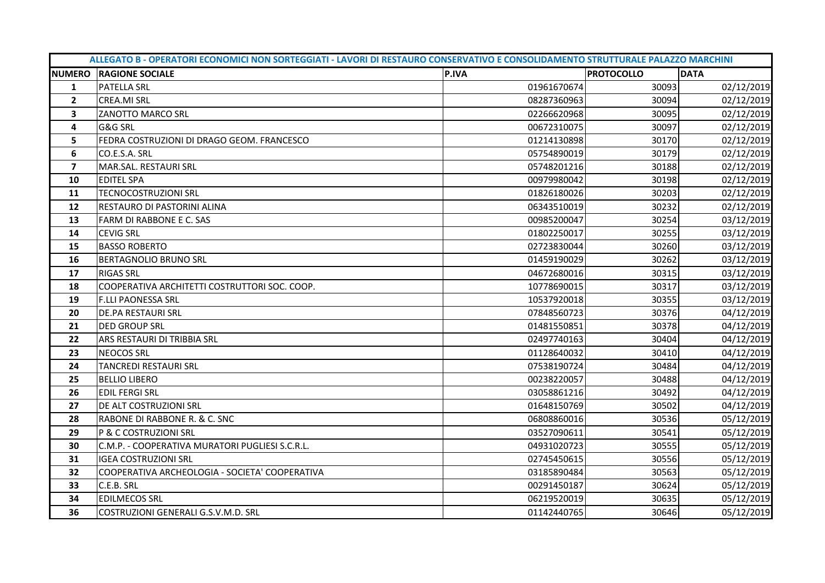|                         | ALLEGATO B - OPERATORI ECONOMICI NON SORTEGGIATI - LAVORI DI RESTAURO CONSERVATIVO E CONSOLIDAMENTO STRUTTURALE PALAZZO MARCHINI |              |                   |             |  |  |
|-------------------------|----------------------------------------------------------------------------------------------------------------------------------|--------------|-------------------|-------------|--|--|
|                         | <b>NUMERO RAGIONE SOCIALE</b>                                                                                                    | <b>P.IVA</b> | <b>PROTOCOLLO</b> | <b>DATA</b> |  |  |
| 1                       | <b>PATELLA SRL</b>                                                                                                               | 01961670674  | 30093             | 02/12/2019  |  |  |
| $\overline{2}$          | <b>CREA.MI SRL</b>                                                                                                               | 08287360963  | 30094             | 02/12/2019  |  |  |
| 3                       | ZANOTTO MARCO SRL                                                                                                                | 02266620968  | 30095             | 02/12/2019  |  |  |
| 4                       | G&G SRL                                                                                                                          | 00672310075  | 30097             | 02/12/2019  |  |  |
| 5                       | FEDRA COSTRUZIONI DI DRAGO GEOM. FRANCESCO                                                                                       | 01214130898  | 30170             | 02/12/2019  |  |  |
| 6                       | CO.E.S.A. SRL                                                                                                                    | 05754890019  | 30179             | 02/12/2019  |  |  |
| $\overline{\mathbf{z}}$ | MAR.SAL. RESTAURI SRL                                                                                                            | 05748201216  | 30188             | 02/12/2019  |  |  |
| 10                      | <b>EDITEL SPA</b>                                                                                                                | 00979980042  | 30198             | 02/12/2019  |  |  |
| 11                      | <b>TECNOCOSTRUZIONI SRL</b>                                                                                                      | 01826180026  | 30203             | 02/12/2019  |  |  |
| 12                      | RESTAURO DI PASTORINI ALINA                                                                                                      | 06343510019  | 30232             | 02/12/2019  |  |  |
| 13                      | FARM DI RABBONE E C. SAS                                                                                                         | 00985200047  | 30254             | 03/12/2019  |  |  |
| 14                      | <b>CEVIG SRL</b>                                                                                                                 | 01802250017  | 30255             | 03/12/2019  |  |  |
| 15                      | <b>BASSO ROBERTO</b>                                                                                                             | 02723830044  | 30260             | 03/12/2019  |  |  |
| 16                      | BERTAGNOLIO BRUNO SRL                                                                                                            | 01459190029  | 30262             | 03/12/2019  |  |  |
| 17                      | <b>RIGAS SRL</b>                                                                                                                 | 04672680016  | 30315             | 03/12/2019  |  |  |
| 18                      | COOPERATIVA ARCHITETTI COSTRUTTORI SOC. COOP.                                                                                    | 10778690015  | 30317             | 03/12/2019  |  |  |
| 19                      | <b>F.LLI PAONESSA SRL</b>                                                                                                        | 10537920018  | 30355             | 03/12/2019  |  |  |
| 20                      | DE.PA RESTAURI SRL                                                                                                               | 07848560723  | 30376             | 04/12/2019  |  |  |
| 21                      | <b>DED GROUP SRL</b>                                                                                                             | 01481550851  | 30378             | 04/12/2019  |  |  |
| 22                      | ARS RESTAURI DI TRIBBIA SRL                                                                                                      | 02497740163  | 30404             | 04/12/2019  |  |  |
| 23                      | <b>NEOCOS SRL</b>                                                                                                                | 01128640032  | 30410             | 04/12/2019  |  |  |
| 24                      | <b>TANCREDI RESTAURI SRL</b>                                                                                                     | 07538190724  | 30484             | 04/12/2019  |  |  |
| 25                      | <b>BELLIO LIBERO</b>                                                                                                             | 00238220057  | 30488             | 04/12/2019  |  |  |
| 26                      | <b>EDIL FERGI SRL</b>                                                                                                            | 03058861216  | 30492             | 04/12/2019  |  |  |
| 27                      | DE ALT COSTRUZIONI SRL                                                                                                           | 01648150769  | 30502             | 04/12/2019  |  |  |
| 28                      | RABONE DI RABBONE R. & C. SNC                                                                                                    | 06808860016  | 30536             | 05/12/2019  |  |  |
| 29                      | P & C COSTRUZIONI SRL                                                                                                            | 03527090611  | 30541             | 05/12/2019  |  |  |
| 30                      | C.M.P. - COOPERATIVA MURATORI PUGLIESI S.C.R.L.                                                                                  | 04931020723  | 30555             | 05/12/2019  |  |  |
| 31                      | <b>IGEA COSTRUZIONI SRL</b>                                                                                                      | 02745450615  | 30556             | 05/12/2019  |  |  |
| 32                      | COOPERATIVA ARCHEOLOGIA - SOCIETA' COOPERATIVA                                                                                   | 03185890484  | 30563             | 05/12/2019  |  |  |
| 33                      | C.E.B. SRL                                                                                                                       | 00291450187  | 30624             | 05/12/2019  |  |  |
| 34                      | <b>EDILMECOS SRL</b>                                                                                                             | 06219520019  | 30635             | 05/12/2019  |  |  |
| 36                      | COSTRUZIONI GENERALI G.S.V.M.D. SRL                                                                                              | 01142440765  | 30646             | 05/12/2019  |  |  |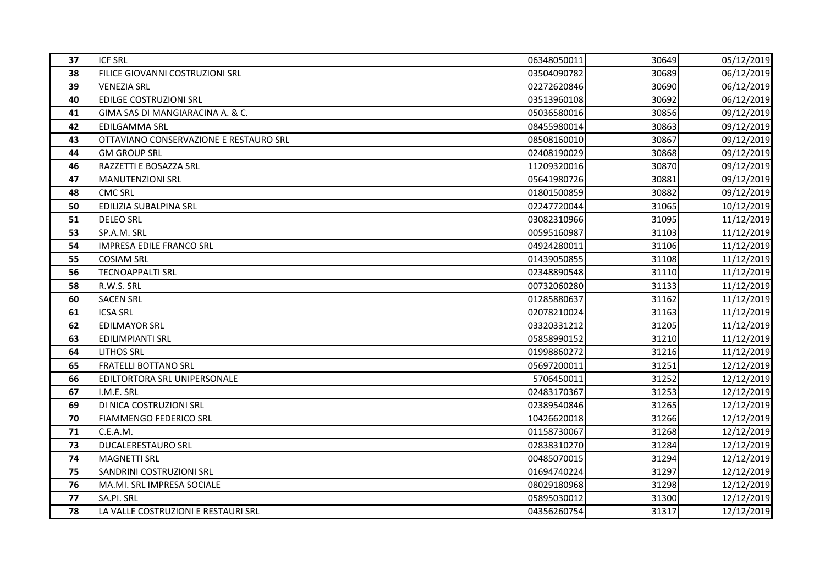| 37 | <b>ICF SRL</b>                         | 06348050011 | 30649 | 05/12/2019 |
|----|----------------------------------------|-------------|-------|------------|
| 38 | FILICE GIOVANNI COSTRUZIONI SRL        | 03504090782 | 30689 | 06/12/2019 |
| 39 | <b>VENEZIA SRL</b>                     | 02272620846 | 30690 | 06/12/2019 |
| 40 | <b>EDILGE COSTRUZIONI SRL</b>          | 03513960108 | 30692 | 06/12/2019 |
| 41 | GIMA SAS DI MANGIARACINA A. & C.       | 05036580016 | 30856 | 09/12/2019 |
| 42 | <b>EDILGAMMA SRL</b>                   | 08455980014 | 30863 | 09/12/2019 |
| 43 | OTTAVIANO CONSERVAZIONE E RESTAURO SRL | 08508160010 | 30867 | 09/12/2019 |
| 44 | <b>GM GROUP SRL</b>                    | 02408190029 | 30868 | 09/12/2019 |
| 46 | RAZZETTI E BOSAZZA SRL                 | 11209320016 | 30870 | 09/12/2019 |
| 47 | <b>MANUTENZIONI SRL</b>                | 05641980726 | 30881 | 09/12/2019 |
| 48 | <b>CMC SRL</b>                         | 01801500859 | 30882 | 09/12/2019 |
| 50 | EDILIZIA SUBALPINA SRL                 | 02247720044 | 31065 | 10/12/2019 |
| 51 | <b>DELEO SRL</b>                       | 03082310966 | 31095 | 11/12/2019 |
| 53 | SP.A.M. SRL                            | 00595160987 | 31103 | 11/12/2019 |
| 54 | <b>IMPRESA EDILE FRANCO SRL</b>        | 04924280011 | 31106 | 11/12/2019 |
| 55 | <b>COSIAM SRL</b>                      | 01439050855 | 31108 | 11/12/2019 |
| 56 | <b>TECNOAPPALTI SRL</b>                | 02348890548 | 31110 | 11/12/2019 |
| 58 | R.W.S. SRL                             | 00732060280 | 31133 | 11/12/2019 |
| 60 | <b>SACEN SRL</b>                       | 01285880637 | 31162 | 11/12/2019 |
| 61 | <b>ICSA SRL</b>                        | 02078210024 | 31163 | 11/12/2019 |
| 62 | <b>EDILMAYOR SRL</b>                   | 03320331212 | 31205 | 11/12/2019 |
| 63 | <b>EDILIMPIANTI SRL</b>                | 05858990152 | 31210 | 11/12/2019 |
| 64 | <b>LITHOS SRL</b>                      | 01998860272 | 31216 | 11/12/2019 |
| 65 | <b>FRATELLI BOTTANO SRL</b>            | 05697200011 | 31251 | 12/12/2019 |
| 66 | EDILTORTORA SRL UNIPERSONALE           | 5706450011  | 31252 | 12/12/2019 |
| 67 | I.M.E. SRL                             | 02483170367 | 31253 | 12/12/2019 |
| 69 | DI NICA COSTRUZIONI SRL                | 02389540846 | 31265 | 12/12/2019 |
| 70 | <b>FIAMMENGO FEDERICO SRL</b>          | 10426620018 | 31266 | 12/12/2019 |
| 71 | C.E.A.M.                               | 01158730067 | 31268 | 12/12/2019 |
| 73 | <b>DUCALERESTAURO SRL</b>              | 02838310270 | 31284 | 12/12/2019 |
| 74 | <b>MAGNETTI SRL</b>                    | 00485070015 | 31294 | 12/12/2019 |
| 75 | SANDRINI COSTRUZIONI SRL               | 01694740224 | 31297 | 12/12/2019 |
| 76 | MA.MI. SRL IMPRESA SOCIALE             | 08029180968 | 31298 | 12/12/2019 |
| 77 | SA.PI. SRL                             | 05895030012 | 31300 | 12/12/2019 |
| 78 | LA VALLE COSTRUZIONI E RESTAURI SRL    | 04356260754 | 31317 | 12/12/2019 |